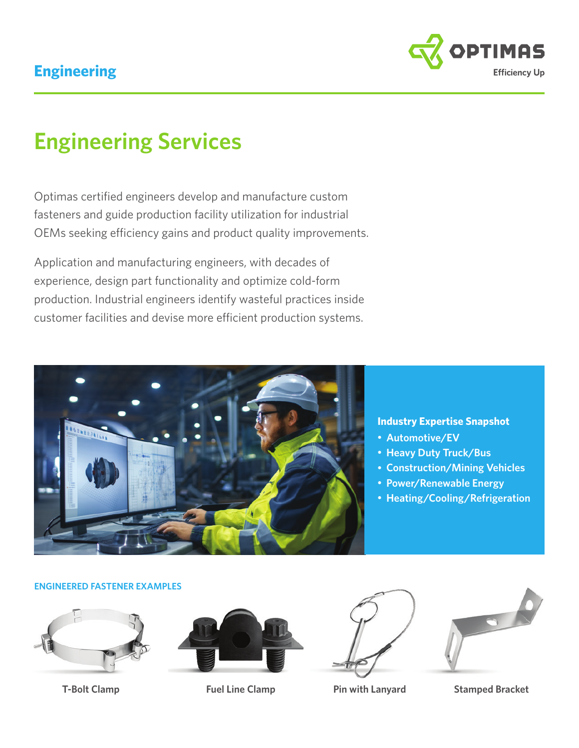### **Engineering**



# **Engineering Services**

Optimas certified engineers develop and manufacture custom fasteners and guide production facility utilization for industrial OEMs seeking efficiency gains and product quality improvements.

Application and manufacturing engineers, with decades of experience, design part functionality and optimize cold-form production. Industrial engineers identify wasteful practices inside customer facilities and devise more efficient production systems.



#### **Industry Expertise Snapshot**

- • **Automotive/EV**
- • **Heavy Duty Truck/Bus**
- • **Construction/Mining Vehicles**
- • **Power/Renewable Energy**
- • **Heating/Cooling/Refrigeration**

#### **ENGINEERED FASTENER EXAMPLES**









**T-Bolt Clamp Fuel Line Clamp Pin with Lanyard Stamped Bracket**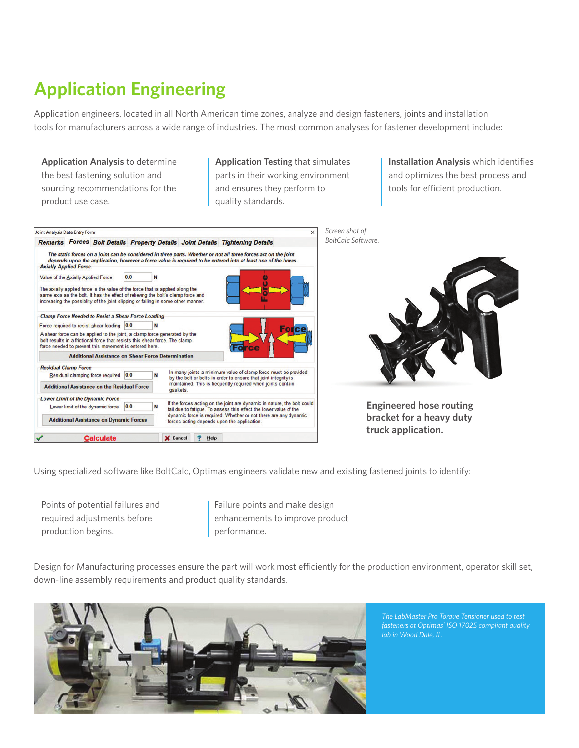## **Application Engineering**

Application engineers, located in all North American time zones, analyze and design fasteners, joints and installation tools for manufacturers across a wide range of industries. The most common analyses for fastener development include:

**Application Analysis** to determine the best fastening solution and sourcing recommendations for the product use case.

**Application Testing** that simulates parts in their working environment and ensures they perform to quality standards.

**Installation Analysis** which identifies and optimizes the best process and tools for efficient production.



**Engineered hose routing bracket for a heavy duty truck application.**

Using specialized software like BoltCalc, Optimas engineers validate new and existing fastened joints to identify:

Points of potential failures and required adjustments before production begins.

Failure points and make design enhancements to improve product performance.

Design for Manufacturing processes ensure the part will work most efficiently for the production environment, operator skill set, down-line assembly requirements and product quality standards.



*The LabMaster Pro Torque Tensioner used to test fasteners at Optimas' ISO 17025 compliant quality lab in Wood Dale, IL.*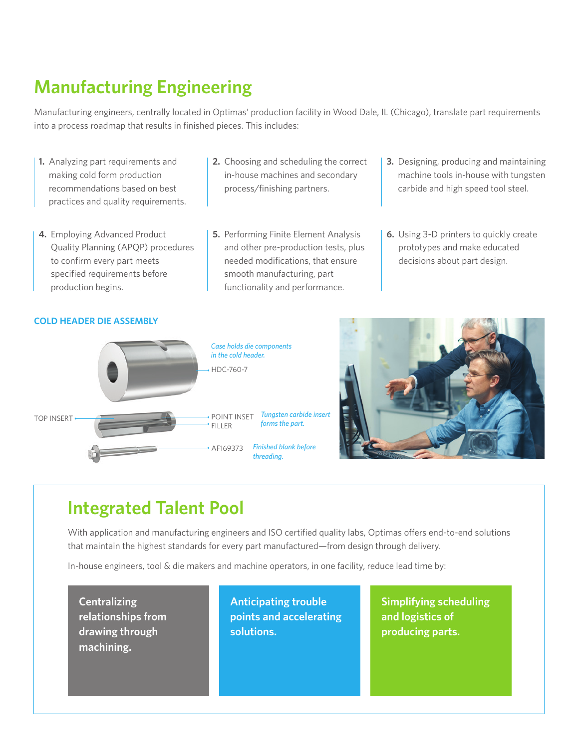### **Manufacturing Engineering**

Manufacturing engineers, centrally located in Optimas' production facility in Wood Dale, IL (Chicago), translate part requirements into a process roadmap that results in finished pieces. This includes:

- **1.** Analyzing part requirements and making cold form production recommendations based on best practices and quality requirements.
- **4.** Employing Advanced Product Quality Planning (APQP) procedures to confirm every part meets specified requirements before production begins.
- **2.** Choosing and scheduling the correct in-house machines and secondary process/finishing partners.
- **5.** Performing Finite Element Analysis and other pre-production tests, plus needed modifications, that ensure smooth manufacturing, part functionality and performance.
- **3.** Designing, producing and maintaining machine tools in-house with tungsten carbide and high speed tool steel.
- **6.** Using 3-D printers to quickly create prototypes and make educated decisions about part design.

#### **COLD HEADER DIE ASSEMBLY**





### **Integrated Talent Pool**

With application and manufacturing engineers and ISO certified quality labs, Optimas offers end-to-end solutions that maintain the highest standards for every part manufactured—from design through delivery.

In-house engineers, tool & die makers and machine operators, in one facility, reduce lead time by:

**Centralizing relationships from drawing through machining.**

**Anticipating trouble points and accelerating solutions.**

**Simplifying scheduling and logistics of producing parts.**